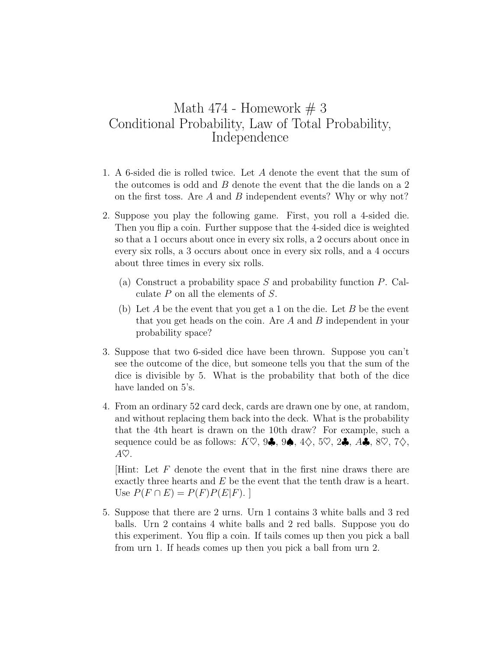## Math 474 - Homework  $# 3$ Conditional Probability, Law of Total Probability, Independence

- 1. A 6-sided die is rolled twice. Let *A* denote the event that the sum of the outcomes is odd and *B* denote the event that the die lands on a 2 on the first toss. Are *A* and *B* independent events? Why or why not?
- 2. Suppose you play the following game. First, you roll a 4-sided die. Then you flip a coin. Further suppose that the 4-sided dice is weighted so that a 1 occurs about once in every six rolls, a 2 occurs about once in every six rolls, a 3 occurs about once in every six rolls, and a 4 occurs about three times in every six rolls.
	- (a) Construct a probability space *S* and probability function *P*. Calculate *P* on all the elements of *S*.
	- (b) Let *A* be the event that you get a 1 on the die. Let *B* be the event that you get heads on the coin. Are *A* and *B* independent in your probability space?
- 3. Suppose that two 6-sided dice have been thrown. Suppose you can't see the outcome of the dice, but someone tells you that the sum of the dice is divisible by 5. What is the probability that both of the dice have landed on 5's.
- 4. From an ordinary 52 card deck, cards are drawn one by one, at random, and without replacing them back into the deck. What is the probability that the 4th heart is drawn on the 10th draw? For example, such a sequence could be as follows: *K♡*, 9*♣*, 9*♠*, 4*♢*, 5*♡*, 2*♣*, *A♣*, 8*♡*, 7*♢*, *A♡*.

[Hint: Let *F* denote the event that in the first nine draws there are exactly three hearts and *E* be the event that the tenth draw is a heart.  $U$ se  $P(F \cap E) = P(F)P(E|F)$ .

5. Suppose that there are 2 urns. Urn 1 contains 3 white balls and 3 red balls. Urn 2 contains 4 white balls and 2 red balls. Suppose you do this experiment. You flip a coin. If tails comes up then you pick a ball from urn 1. If heads comes up then you pick a ball from urn 2.